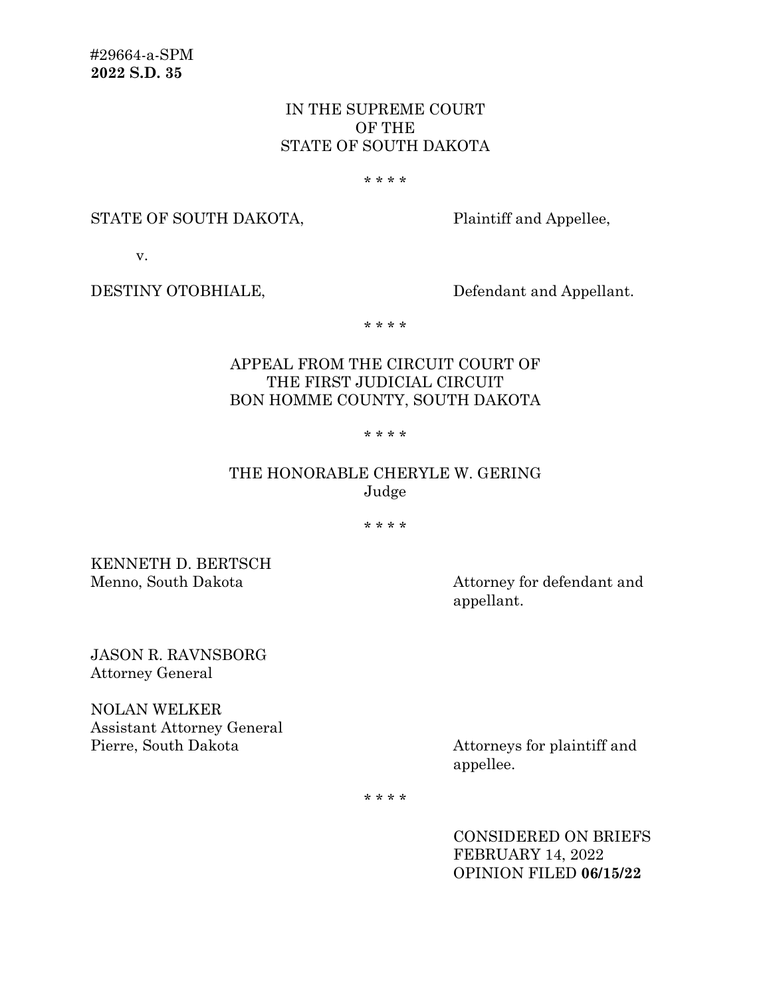# IN THE SUPREME COURT OF THE STATE OF SOUTH DAKOTA

#### \* \* \* \*

### STATE OF SOUTH DAKOTA, Plaintiff and Appellee,

v.

DESTINY OTOBHIALE, Defendant and Appellant.

\* \* \* \*

# APPEAL FROM THE CIRCUIT COURT OF THE FIRST JUDICIAL CIRCUIT BON HOMME COUNTY, SOUTH DAKOTA

#### \* \* \* \*

# THE HONORABLE CHERYLE W. GERING Judge

\* \* \* \*

KENNETH D. BERTSCH Menno, South Dakota **Attorney for defendant** and

appellant.

JASON R. RAVNSBORG Attorney General

NOLAN WELKER Assistant Attorney General Pierre, South Dakota Attorneys for plaintiff and

appellee.

\* \* \* \*

CONSIDERED ON BRIEFS FEBRUARY 14, 2022 OPINION FILED **06/15/22**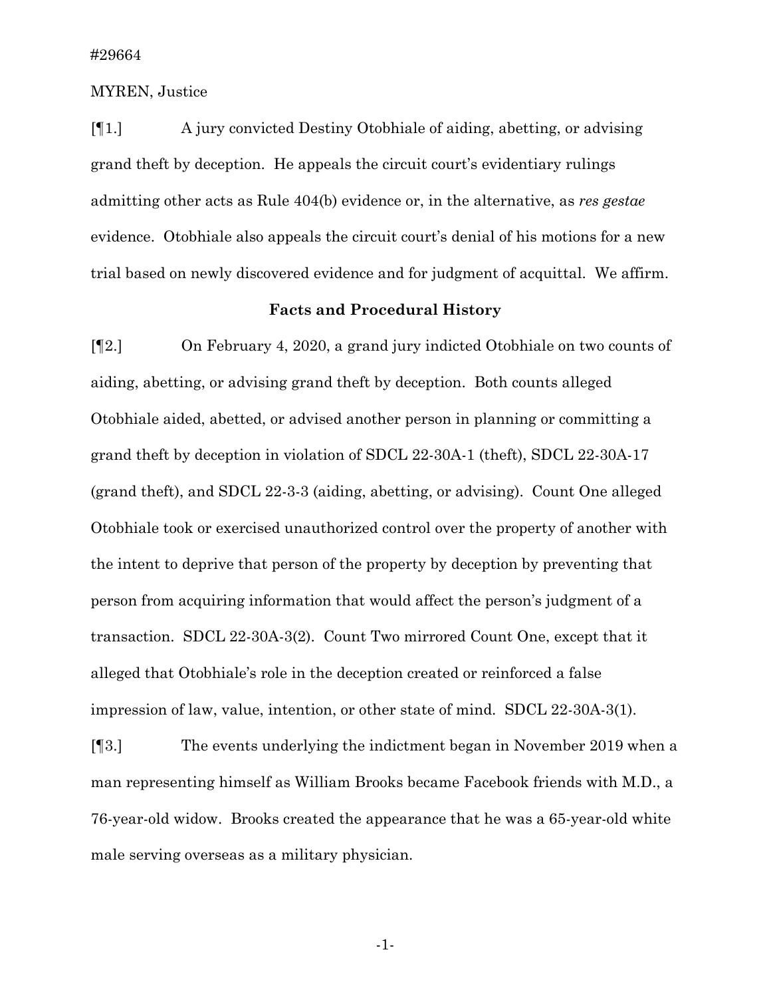MYREN, Justice

[¶1.] A jury convicted Destiny Otobhiale of aiding, abetting, or advising grand theft by deception. He appeals the circuit court's evidentiary rulings admitting other acts as Rule 404(b) evidence or, in the alternative, as *res gestae* evidence. Otobhiale also appeals the circuit court's denial of his motions for a new trial based on newly discovered evidence and for judgment of acquittal. We affirm.

### **Facts and Procedural History**

[¶2.] On February 4, 2020, a grand jury indicted Otobhiale on two counts of aiding, abetting, or advising grand theft by deception. Both counts alleged Otobhiale aided, abetted, or advised another person in planning or committing a grand theft by deception in violation of SDCL 22-30A-1 (theft), SDCL 22-30A-17 (grand theft), and SDCL 22-3-3 (aiding, abetting, or advising). Count One alleged Otobhiale took or exercised unauthorized control over the property of another with the intent to deprive that person of the property by deception by preventing that person from acquiring information that would affect the person's judgment of a transaction. SDCL 22-30A-3(2). Count Two mirrored Count One, except that it alleged that Otobhiale's role in the deception created or reinforced a false impression of law, value, intention, or other state of mind. SDCL 22-30A-3(1).

[¶3.] The events underlying the indictment began in November 2019 when a man representing himself as William Brooks became Facebook friends with M.D., a 76-year-old widow. Brooks created the appearance that he was a 65-year-old white male serving overseas as a military physician.

-1-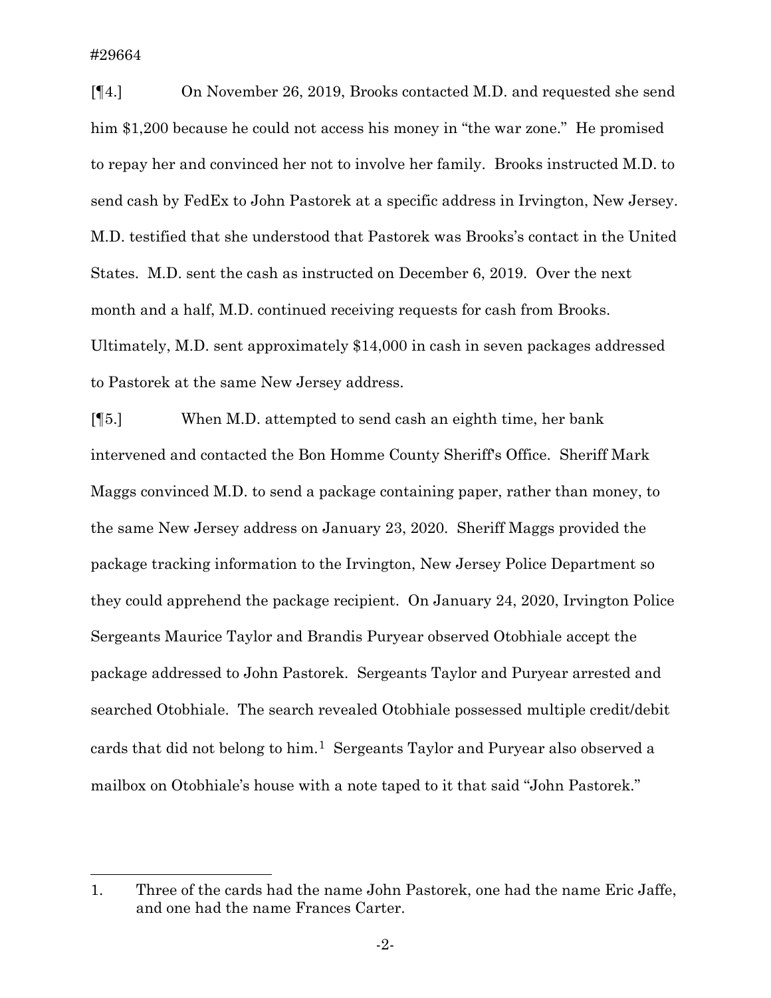[¶4.] On November 26, 2019, Brooks contacted M.D. and requested she send him \$1,200 because he could not access his money in "the war zone." He promised to repay her and convinced her not to involve her family. Brooks instructed M.D. to send cash by FedEx to John Pastorek at a specific address in Irvington, New Jersey. M.D. testified that she understood that Pastorek was Brooks's contact in the United States. M.D. sent the cash as instructed on December 6, 2019. Over the next month and a half, M.D. continued receiving requests for cash from Brooks. Ultimately, M.D. sent approximately \$14,000 in cash in seven packages addressed to Pastorek at the same New Jersey address.

[¶5.] When M.D. attempted to send cash an eighth time, her bank intervened and contacted the Bon Homme County Sheriff's Office. Sheriff Mark Maggs convinced M.D. to send a package containing paper, rather than money, to the same New Jersey address on January 23, 2020. Sheriff Maggs provided the package tracking information to the Irvington, New Jersey Police Department so they could apprehend the package recipient. On January 24, 2020, Irvington Police Sergeants Maurice Taylor and Brandis Puryear observed Otobhiale accept the package addressed to John Pastorek. Sergeants Taylor and Puryear arrested and searched Otobhiale. The search revealed Otobhiale possessed multiple credit/debit cards that did not belong to him.[1](#page-2-0) Sergeants Taylor and Puryear also observed a mailbox on Otobhiale's house with a note taped to it that said "John Pastorek."

<span id="page-2-0"></span><sup>1.</sup> Three of the cards had the name John Pastorek, one had the name Eric Jaffe, and one had the name Frances Carter.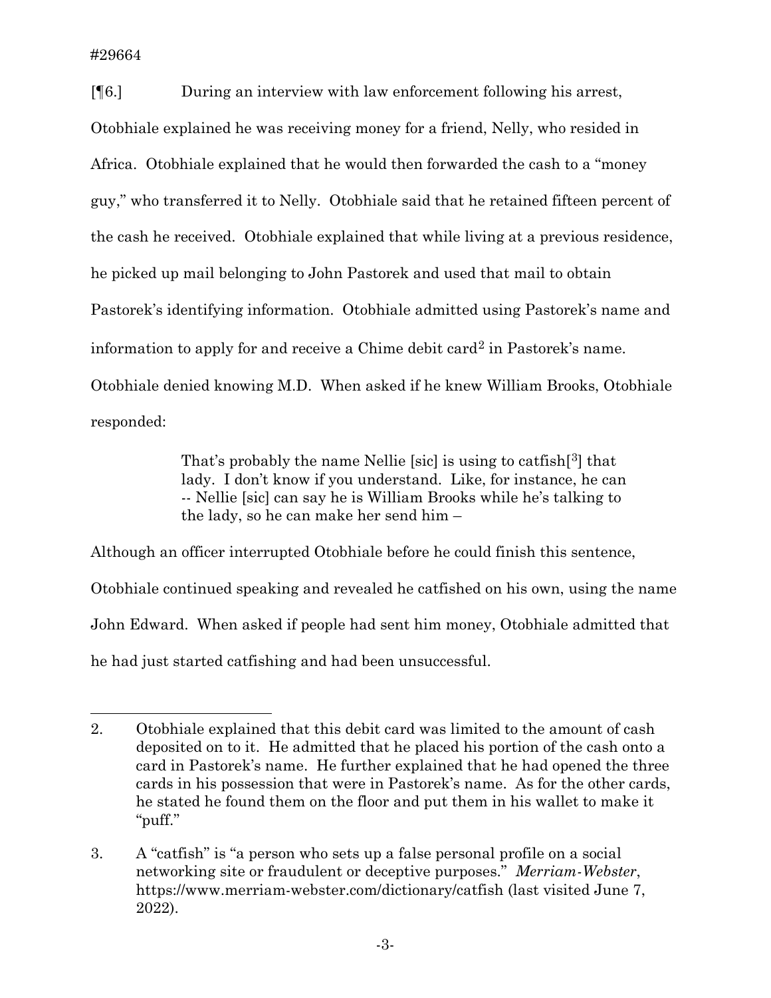[¶6.] During an interview with law enforcement following his arrest, Otobhiale explained he was receiving money for a friend, Nelly, who resided in Africa. Otobhiale explained that he would then forwarded the cash to a "money guy," who transferred it to Nelly. Otobhiale said that he retained fifteen percent of the cash he received. Otobhiale explained that while living at a previous residence, he picked up mail belonging to John Pastorek and used that mail to obtain Pastorek's identifying information. Otobhiale admitted using Pastorek's name and information to apply for and receive a Chime debit card<sup>[2](#page-3-0)</sup> in Pastorek's name. Otobhiale denied knowing M.D. When asked if he knew William Brooks, Otobhiale responded:

> That's probably the name Nellie [sic] is using to catfish<sup>[[3\]](#page-3-1)</sup> that lady. I don't know if you understand. Like, for instance, he can -- Nellie [sic] can say he is William Brooks while he's talking to the lady, so he can make her send him –

Although an officer interrupted Otobhiale before he could finish this sentence, Otobhiale continued speaking and revealed he catfished on his own, using the name John Edward. When asked if people had sent him money, Otobhiale admitted that he had just started catfishing and had been unsuccessful.

<span id="page-3-0"></span><sup>2.</sup> Otobhiale explained that this debit card was limited to the amount of cash deposited on to it. He admitted that he placed his portion of the cash onto a card in Pastorek's name. He further explained that he had opened the three cards in his possession that were in Pastorek's name. As for the other cards, he stated he found them on the floor and put them in his wallet to make it "puff."

<span id="page-3-1"></span><sup>3.</sup> A "catfish" is "a person who sets up a false personal profile on a social networking site or fraudulent or deceptive purposes." *Merriam-Webster*, https://www.merriam-webster.com/dictionary/catfish (last visited June 7, 2022).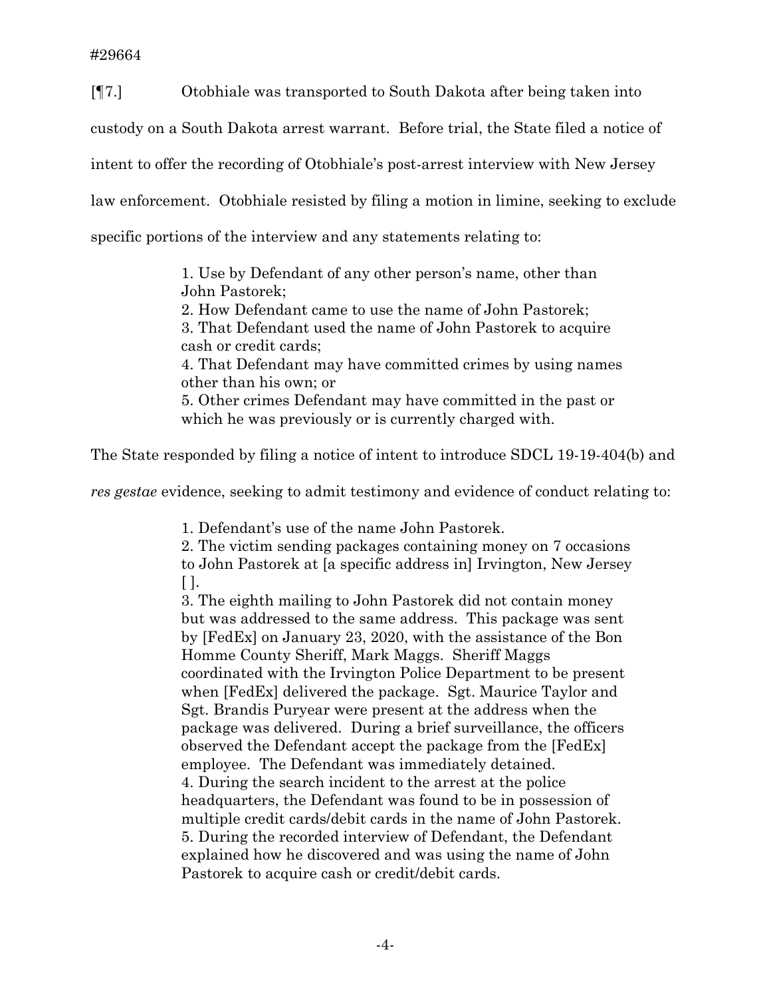[¶7.] Otobhiale was transported to South Dakota after being taken into

custody on a South Dakota arrest warrant. Before trial, the State filed a notice of

intent to offer the recording of Otobhiale's post-arrest interview with New Jersey

law enforcement. Otobhiale resisted by filing a motion in limine, seeking to exclude

specific portions of the interview and any statements relating to:

1. Use by Defendant of any other person's name, other than John Pastorek;

2. How Defendant came to use the name of John Pastorek;

3. That Defendant used the name of John Pastorek to acquire cash or credit cards;

4. That Defendant may have committed crimes by using names other than his own; or

5. Other crimes Defendant may have committed in the past or which he was previously or is currently charged with.

The State responded by filing a notice of intent to introduce SDCL 19-19-404(b) and

*res gestae* evidence, seeking to admit testimony and evidence of conduct relating to:

1. Defendant's use of the name John Pastorek.

2. The victim sending packages containing money on 7 occasions to John Pastorek at [a specific address in] Irvington, New Jersey  $\lceil \cdot \rceil$ .

3. The eighth mailing to John Pastorek did not contain money but was addressed to the same address. This package was sent by [FedEx] on January 23, 2020, with the assistance of the Bon Homme County Sheriff, Mark Maggs. Sheriff Maggs coordinated with the Irvington Police Department to be present when [FedEx] delivered the package. Sgt. Maurice Taylor and Sgt. Brandis Puryear were present at the address when the package was delivered. During a brief surveillance, the officers observed the Defendant accept the package from the [FedEx] employee. The Defendant was immediately detained. 4. During the search incident to the arrest at the police headquarters, the Defendant was found to be in possession of multiple credit cards/debit cards in the name of John Pastorek. 5. During the recorded interview of Defendant, the Defendant explained how he discovered and was using the name of John Pastorek to acquire cash or credit/debit cards.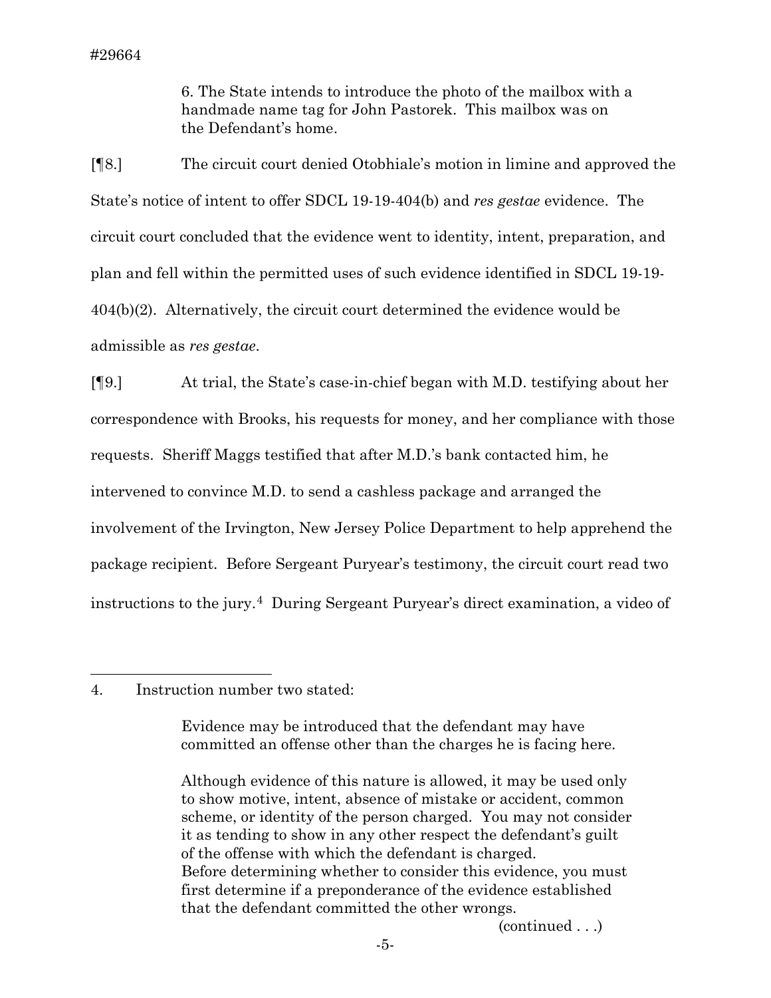6. The State intends to introduce the photo of the mailbox with a handmade name tag for John Pastorek. This mailbox was on the Defendant's home.

[¶8.] The circuit court denied Otobhiale's motion in limine and approved the State's notice of intent to offer SDCL 19-19-404(b) and *res gestae* evidence. The circuit court concluded that the evidence went to identity, intent, preparation, and plan and fell within the permitted uses of such evidence identified in SDCL 19-19- 404(b)(2). Alternatively, the circuit court determined the evidence would be admissible as *res gestae*.

[¶9.] At trial, the State's case-in-chief began with M.D. testifying about her correspondence with Brooks, his requests for money, and her compliance with those requests. Sheriff Maggs testified that after M.D.'s bank contacted him, he intervened to convince M.D. to send a cashless package and arranged the involvement of the Irvington, New Jersey Police Department to help apprehend the package recipient. Before Sergeant Puryear's testimony, the circuit court read two instructions to the jury.[4](#page-5-0) During Sergeant Puryear's direct examination, a video of

### <span id="page-5-0"></span>4. Instruction number two stated:

Evidence may be introduced that the defendant may have committed an offense other than the charges he is facing here.

(continued . . .)

Although evidence of this nature is allowed, it may be used only to show motive, intent, absence of mistake or accident, common scheme, or identity of the person charged. You may not consider it as tending to show in any other respect the defendant's guilt of the offense with which the defendant is charged. Before determining whether to consider this evidence, you must first determine if a preponderance of the evidence established that the defendant committed the other wrongs.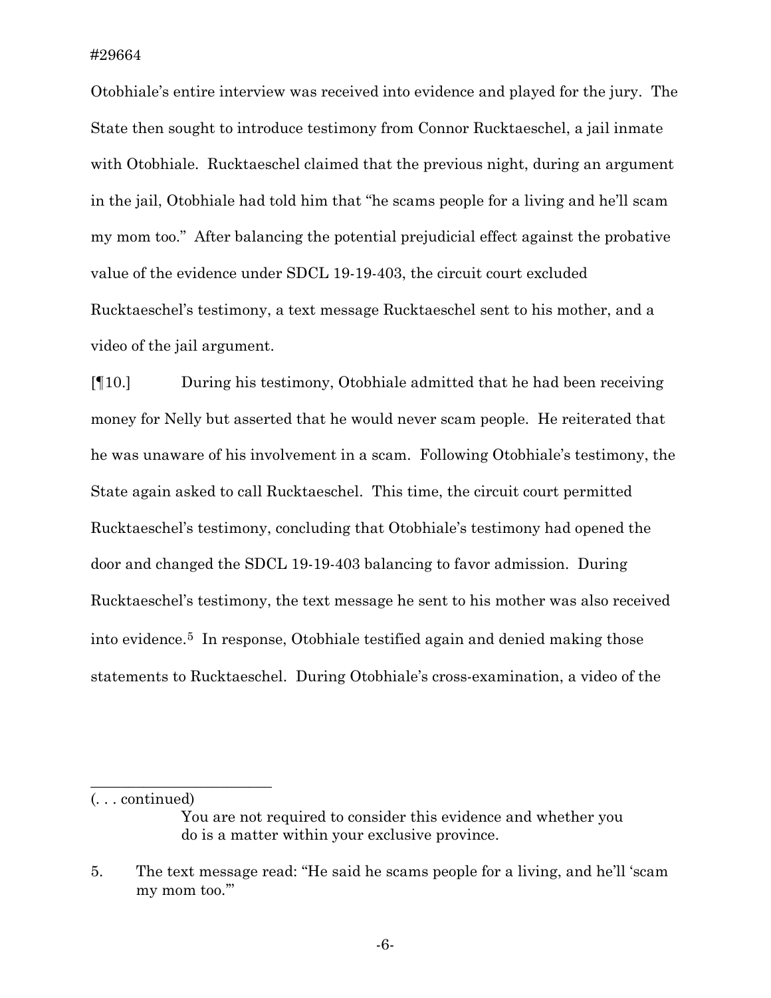Otobhiale's entire interview was received into evidence and played for the jury. The State then sought to introduce testimony from Connor Rucktaeschel, a jail inmate with Otobhiale. Rucktaeschel claimed that the previous night, during an argument in the jail, Otobhiale had told him that "he scams people for a living and he'll scam my mom too." After balancing the potential prejudicial effect against the probative value of the evidence under SDCL 19-19-403, the circuit court excluded Rucktaeschel's testimony, a text message Rucktaeschel sent to his mother, and a video of the jail argument.

[¶10.] During his testimony, Otobhiale admitted that he had been receiving money for Nelly but asserted that he would never scam people. He reiterated that he was unaware of his involvement in a scam. Following Otobhiale's testimony, the State again asked to call Rucktaeschel. This time, the circuit court permitted Rucktaeschel's testimony, concluding that Otobhiale's testimony had opened the door and changed the SDCL 19-19-403 balancing to favor admission. During Rucktaeschel's testimony, the text message he sent to his mother was also received into evidence.[5](#page-6-0) In response, Otobhiale testified again and denied making those statements to Rucktaeschel. During Otobhiale's cross-examination, a video of the

(. . . continued)

 $\overline{\phantom{a}}$  , where  $\overline{\phantom{a}}$  , where  $\overline{\phantom{a}}$  , where  $\overline{\phantom{a}}$ 

You are not required to consider this evidence and whether you do is a matter within your exclusive province.

<span id="page-6-0"></span><sup>5.</sup> The text message read: "He said he scams people for a living, and he'll 'scam my mom too.'"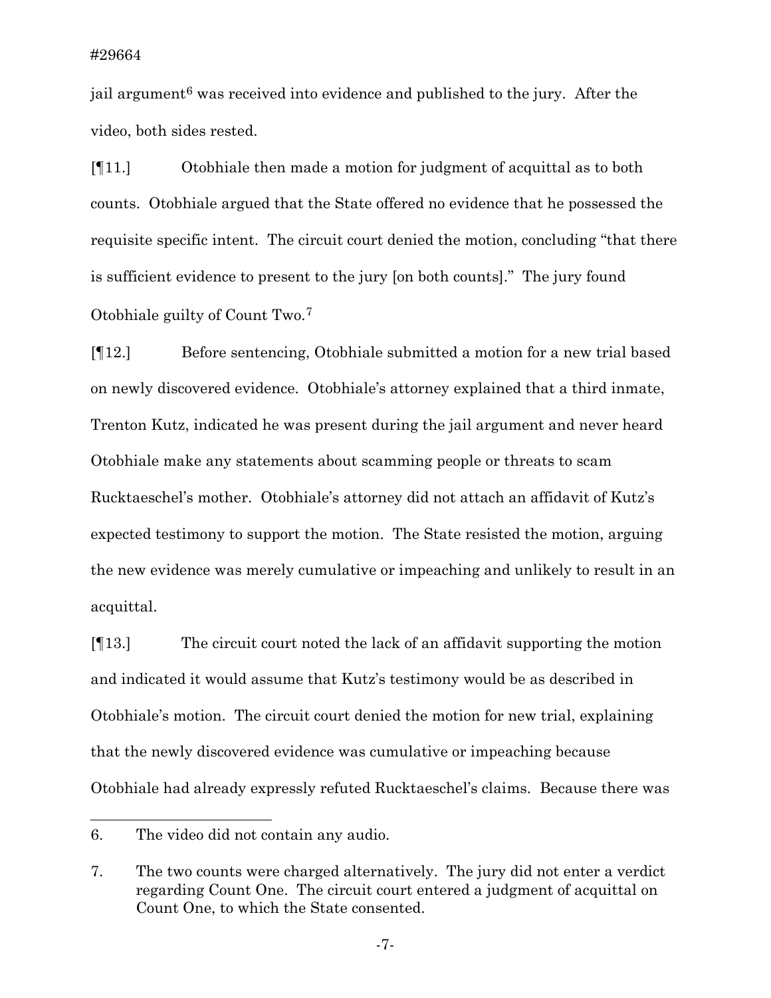jail argument<sup>[6](#page-7-0)</sup> was received into evidence and published to the jury. After the video, both sides rested.

[¶11.] Otobhiale then made a motion for judgment of acquittal as to both counts. Otobhiale argued that the State offered no evidence that he possessed the requisite specific intent. The circuit court denied the motion, concluding "that there is sufficient evidence to present to the jury [on both counts]." The jury found Otobhiale guilty of Count Two.[7](#page-7-1)

[¶12.] Before sentencing, Otobhiale submitted a motion for a new trial based on newly discovered evidence. Otobhiale's attorney explained that a third inmate, Trenton Kutz, indicated he was present during the jail argument and never heard Otobhiale make any statements about scamming people or threats to scam Rucktaeschel's mother. Otobhiale's attorney did not attach an affidavit of Kutz's expected testimony to support the motion. The State resisted the motion, arguing the new evidence was merely cumulative or impeaching and unlikely to result in an acquittal.

[¶13.] The circuit court noted the lack of an affidavit supporting the motion and indicated it would assume that Kutz's testimony would be as described in Otobhiale's motion. The circuit court denied the motion for new trial, explaining that the newly discovered evidence was cumulative or impeaching because Otobhiale had already expressly refuted Rucktaeschel's claims. Because there was

<span id="page-7-0"></span><sup>6.</sup> The video did not contain any audio.

<span id="page-7-1"></span><sup>7.</sup> The two counts were charged alternatively. The jury did not enter a verdict regarding Count One. The circuit court entered a judgment of acquittal on Count One, to which the State consented.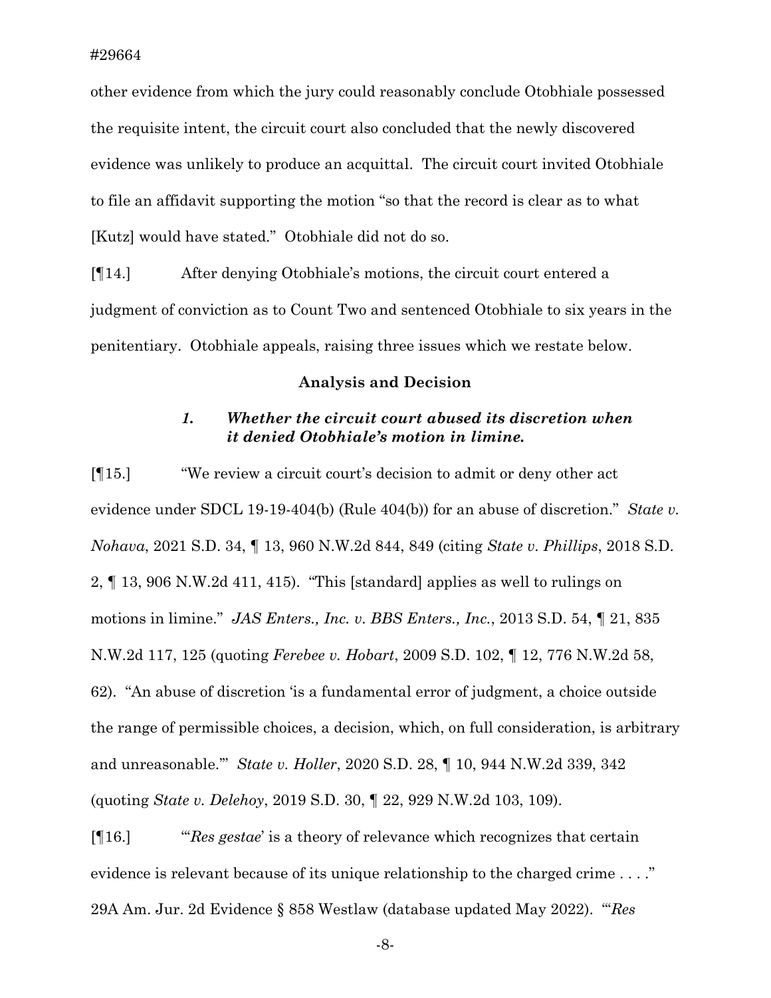other evidence from which the jury could reasonably conclude Otobhiale possessed the requisite intent, the circuit court also concluded that the newly discovered evidence was unlikely to produce an acquittal. The circuit court invited Otobhiale to file an affidavit supporting the motion "so that the record is clear as to what [Kutz] would have stated." Otobhiale did not do so.

[¶14.] After denying Otobhiale's motions, the circuit court entered a judgment of conviction as to Count Two and sentenced Otobhiale to six years in the penitentiary. Otobhiale appeals, raising three issues which we restate below.

#### **Analysis and Decision**

## *1. Whether the circuit court abused its discretion when it denied Otobhiale's motion in limine.*

[¶15.] "We review a circuit court's decision to admit or deny other act evidence under SDCL 19-19-404(b) (Rule 404(b)) for an abuse of discretion." *State v. Nohava*, 2021 S.D. 34, ¶ 13, 960 N.W.2d 844, 849 (citing *State v. Phillips*, 2018 S.D. 2, ¶ 13, 906 N.W.2d 411, 415). "This [standard] applies as well to rulings on motions in limine." *JAS Enters., Inc. v. BBS Enters., Inc.*, 2013 S.D. 54, ¶ 21, 835 N.W.2d 117, 125 (quoting *Ferebee v. Hobart*, 2009 S.D. 102, ¶ 12, 776 N.W.2d 58, 62). "An abuse of discretion 'is a fundamental error of judgment, a choice outside the range of permissible choices, a decision, which, on full consideration, is arbitrary and unreasonable.'" *State v. Holler*, 2020 S.D. 28, ¶ 10, 944 N.W.2d 339, 342 (quoting *State v. Delehoy*, 2019 S.D. 30, ¶ 22, 929 N.W.2d 103, 109).

[¶16.] "'*Res gestae*' is a theory of relevance which recognizes that certain evidence is relevant because of its unique relationship to the charged crime . . . ." 29A Am. Jur. 2d Evidence § 858 Westlaw (database updated May 2022). "'*Res* 

-8-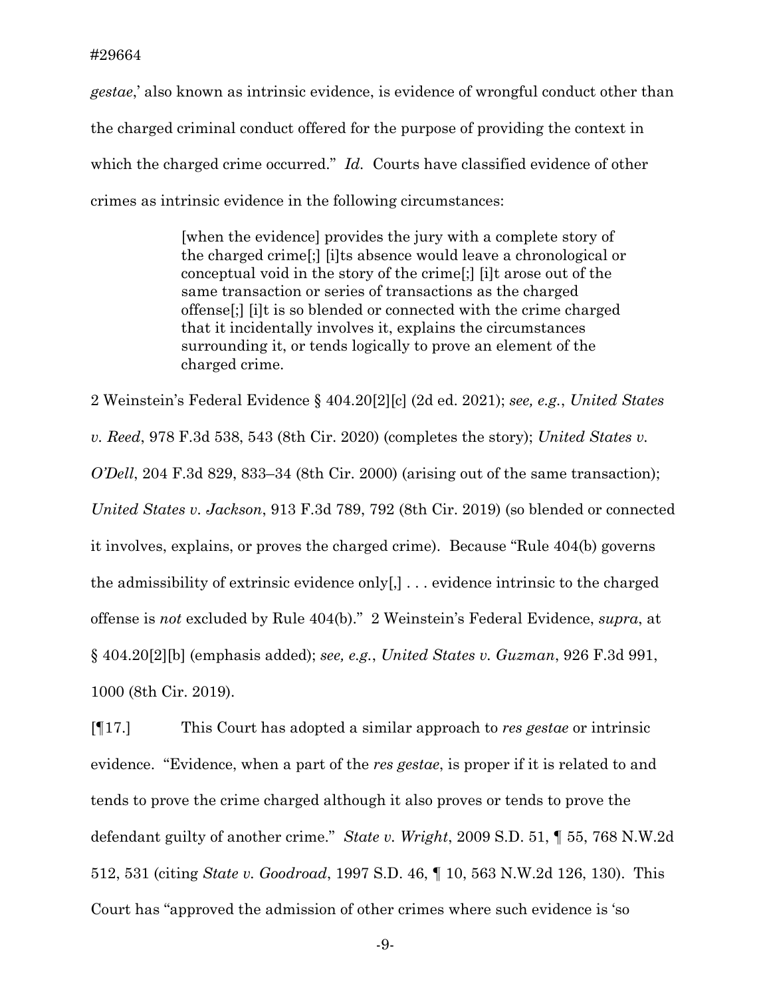*gestae*,' also known as intrinsic evidence, is evidence of wrongful conduct other than the charged criminal conduct offered for the purpose of providing the context in which the charged crime occurred." *Id.* Courts have classified evidence of other crimes as intrinsic evidence in the following circumstances:

> [when the evidence] provides the jury with a complete story of the charged crime[;] [i]ts absence would leave a chronological or conceptual void in the story of the crime[;] [i]t arose out of the same transaction or series of transactions as the charged offense[;] [i]t is so blended or connected with the crime charged that it incidentally involves it, explains the circumstances surrounding it, or tends logically to prove an element of the charged crime.

2 Weinstein's Federal Evidence § 404.20[2][c] (2d ed. 2021); *see, e.g.*, *United States v. Reed*, 978 F.3d 538, 543 (8th Cir. 2020) (completes the story); *United States v. O'Dell*, 204 F.3d 829, 833–34 (8th Cir. 2000) (arising out of the same transaction); *United States v. Jackson*, 913 F.3d 789, 792 (8th Cir. 2019) (so blended or connected it involves, explains, or proves the charged crime). Because "Rule 404(b) governs the admissibility of extrinsic evidence only[,] . . . evidence intrinsic to the charged offense is *not* excluded by Rule 404(b)." 2 Weinstein's Federal Evidence, *supra*, at § 404.20[2][b] (emphasis added); *see, e.g.*, *United States v. Guzman*, 926 F.3d 991, 1000 (8th Cir. 2019).

[¶17.] This Court has adopted a similar approach to *res gestae* or intrinsic evidence. "Evidence, when a part of the *res gestae*, is proper if it is related to and tends to prove the crime charged although it also proves or tends to prove the defendant guilty of another crime." *State v. Wright*, 2009 S.D. 51, ¶ 55, 768 N.W.2d 512, 531 (citing *State v. Goodroad*, 1997 S.D. 46, ¶ 10, 563 N.W.2d 126, 130). This Court has "approved the admission of other crimes where such evidence is 'so

-9-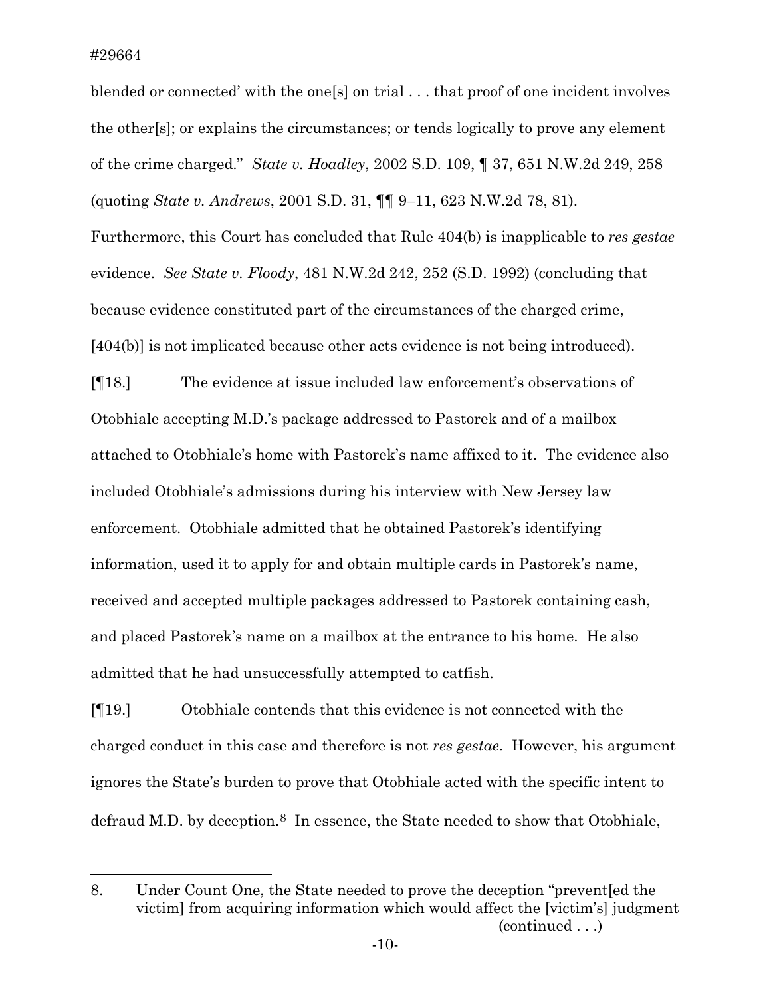blended or connected' with the one[s] on trial . . . that proof of one incident involves the other[s]; or explains the circumstances; or tends logically to prove any element of the crime charged." *State v. Hoadley*, 2002 S.D. 109, ¶ 37, 651 N.W.2d 249, 258 (quoting *State v. Andrews*, 2001 S.D. 31, ¶¶ 9–11, 623 N.W.2d 78, 81).

Furthermore, this Court has concluded that Rule 404(b) is inapplicable to *res gestae*  evidence. *See State v. Floody*, 481 N.W.2d 242, 252 (S.D. 1992) (concluding that because evidence constituted part of the circumstances of the charged crime, [404(b)] is not implicated because other acts evidence is not being introduced).

[¶18.] The evidence at issue included law enforcement's observations of Otobhiale accepting M.D.'s package addressed to Pastorek and of a mailbox attached to Otobhiale's home with Pastorek's name affixed to it. The evidence also included Otobhiale's admissions during his interview with New Jersey law enforcement. Otobhiale admitted that he obtained Pastorek's identifying information, used it to apply for and obtain multiple cards in Pastorek's name, received and accepted multiple packages addressed to Pastorek containing cash, and placed Pastorek's name on a mailbox at the entrance to his home. He also admitted that he had unsuccessfully attempted to catfish.

[¶19.] Otobhiale contends that this evidence is not connected with the charged conduct in this case and therefore is not *res gestae*. However, his argument ignores the State's burden to prove that Otobhiale acted with the specific intent to defraud M.D. by deception.<sup>[8](#page-10-0)</sup> In essence, the State needed to show that Otobhiale,

<span id="page-10-0"></span><sup>8.</sup> Under Count One, the State needed to prove the deception "prevent[ed the victim] from acquiring information which would affect the [victim's] judgment (continued . . .)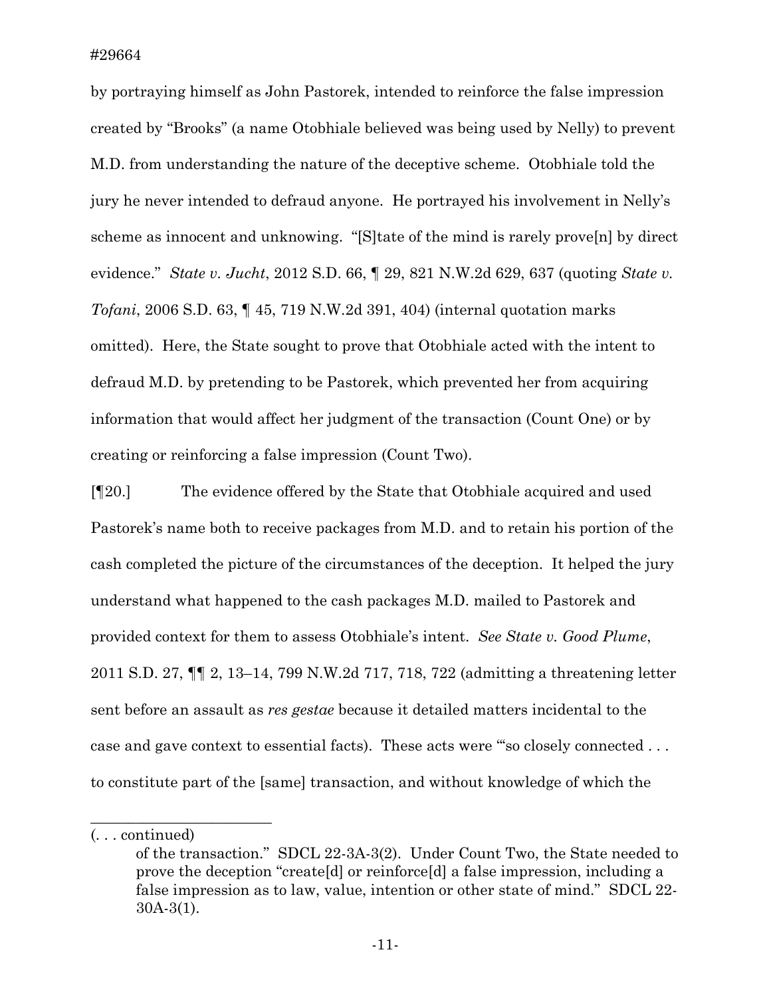by portraying himself as John Pastorek, intended to reinforce the false impression created by "Brooks" (a name Otobhiale believed was being used by Nelly) to prevent M.D. from understanding the nature of the deceptive scheme. Otobhiale told the jury he never intended to defraud anyone. He portrayed his involvement in Nelly's scheme as innocent and unknowing. "[S]tate of the mind is rarely prove[n] by direct evidence." *State v. Jucht*, 2012 S.D. 66, ¶ 29, 821 N.W.2d 629, 637 (quoting *State v. Tofani*, 2006 S.D. 63, ¶ 45, 719 N.W.2d 391, 404) (internal quotation marks omitted). Here, the State sought to prove that Otobhiale acted with the intent to defraud M.D. by pretending to be Pastorek, which prevented her from acquiring information that would affect her judgment of the transaction (Count One) or by creating or reinforcing a false impression (Count Two).

[¶20.] The evidence offered by the State that Otobhiale acquired and used Pastorek's name both to receive packages from M.D. and to retain his portion of the cash completed the picture of the circumstances of the deception. It helped the jury understand what happened to the cash packages M.D. mailed to Pastorek and provided context for them to assess Otobhiale's intent. *See State v. Good Plume*, 2011 S.D. 27, ¶¶ 2, 13–14, 799 N.W.2d 717, 718, 722 (admitting a threatening letter sent before an assault as *res gestae* because it detailed matters incidental to the case and gave context to essential facts). These acts were "'so closely connected . . . to constitute part of the [same] transaction, and without knowledge of which the

 $\overline{\phantom{a}}$  , where  $\overline{\phantom{a}}$  , where  $\overline{\phantom{a}}$  , where  $\overline{\phantom{a}}$ 

<sup>(. . .</sup> continued)

of the transaction." SDCL 22-3A-3(2). Under Count Two, the State needed to prove the deception "create[d] or reinforce[d] a false impression, including a false impression as to law, value, intention or other state of mind." SDCL 22- 30A-3(1).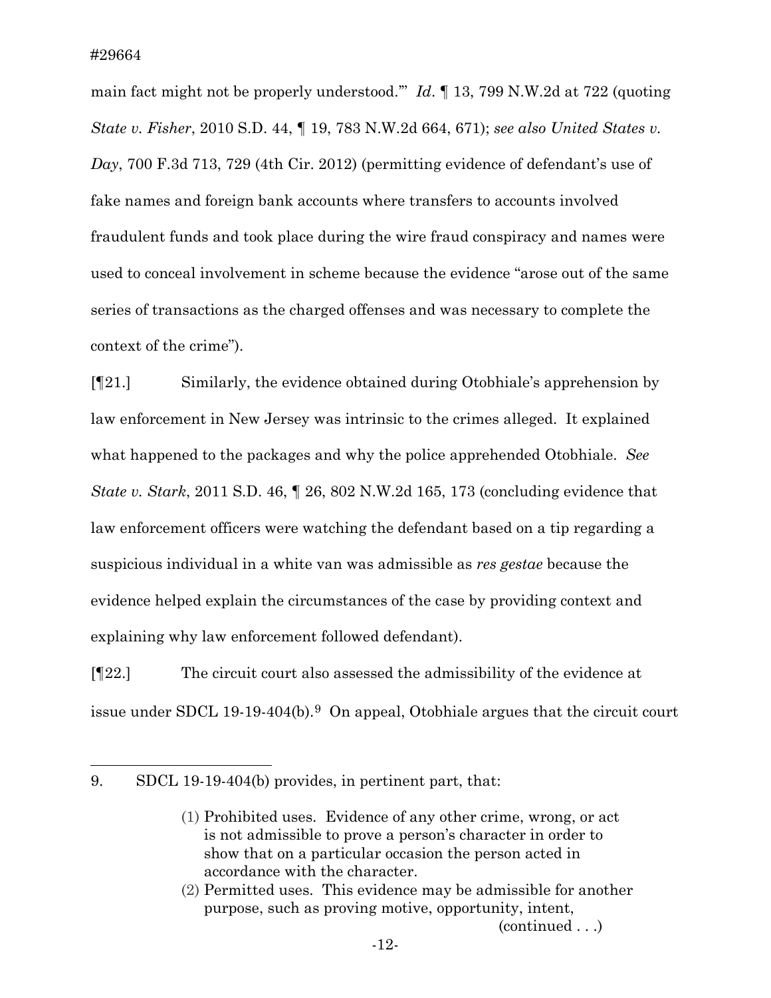main fact might not be properly understood.'" *Id*. ¶ 13, 799 N.W.2d at 722 (quoting *State v. Fisher*, 2010 S.D. 44, ¶ 19, 783 N.W.2d 664, 671); *see also United States v. Day*, 700 F.3d 713, 729 (4th Cir. 2012) (permitting evidence of defendant's use of fake names and foreign bank accounts where transfers to accounts involved fraudulent funds and took place during the wire fraud conspiracy and names were used to conceal involvement in scheme because the evidence "arose out of the same series of transactions as the charged offenses and was necessary to complete the context of the crime").

[¶21.] Similarly, the evidence obtained during Otobhiale's apprehension by law enforcement in New Jersey was intrinsic to the crimes alleged. It explained what happened to the packages and why the police apprehended Otobhiale. *See State v. Stark*, 2011 S.D. 46, ¶ 26, 802 N.W.2d 165, 173 (concluding evidence that law enforcement officers were watching the defendant based on a tip regarding a suspicious individual in a white van was admissible as *res gestae* because the evidence helped explain the circumstances of the case by providing context and explaining why law enforcement followed defendant).

[¶22.] The circuit court also assessed the admissibility of the evidence at issue under SDCL 1[9](#page-12-0)-19-404(b).<sup>9</sup> On appeal, Otobhiale argues that the circuit court

<span id="page-12-0"></span><sup>9.</sup> SDCL 19-19-404(b) provides, in pertinent part, that:

<sup>(1)</sup> Prohibited uses. Evidence of any other crime, wrong, or act is not admissible to prove a person's character in order to show that on a particular occasion the person acted in accordance with the character.

<sup>(2)</sup> Permitted uses. This evidence may be admissible for another purpose, such as proving motive, opportunity, intent, (continued . . .)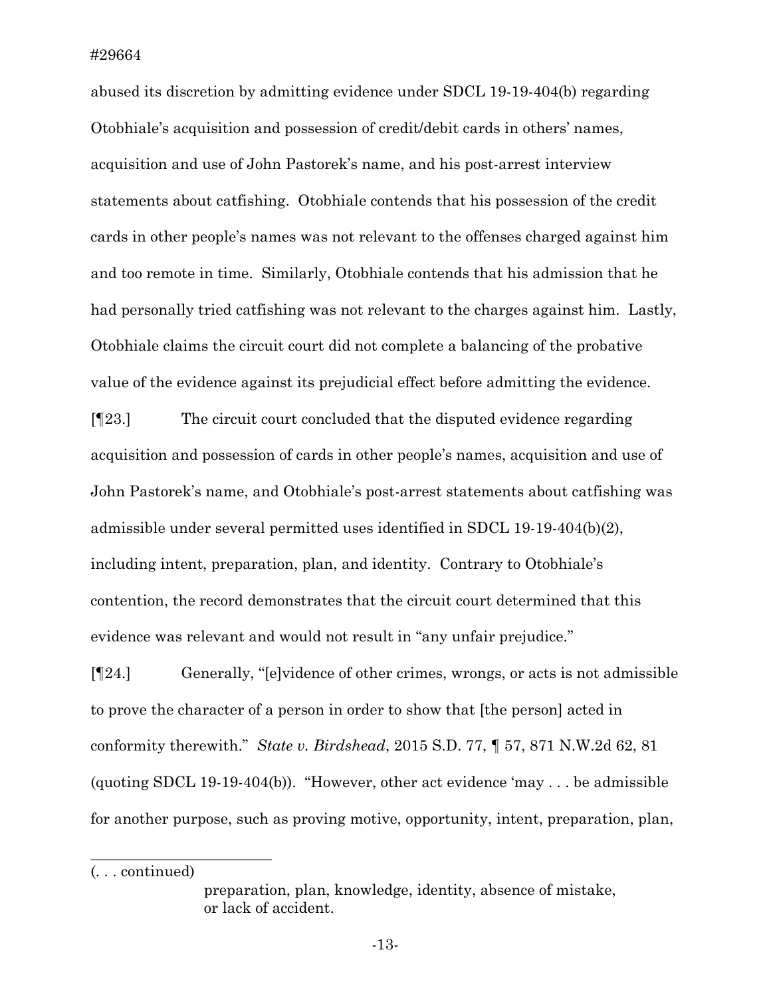abused its discretion by admitting evidence under SDCL 19-19-404(b) regarding Otobhiale's acquisition and possession of credit/debit cards in others' names, acquisition and use of John Pastorek's name, and his post-arrest interview statements about catfishing. Otobhiale contends that his possession of the credit cards in other people's names was not relevant to the offenses charged against him and too remote in time. Similarly, Otobhiale contends that his admission that he had personally tried catfishing was not relevant to the charges against him. Lastly, Otobhiale claims the circuit court did not complete a balancing of the probative value of the evidence against its prejudicial effect before admitting the evidence.

[¶23.] The circuit court concluded that the disputed evidence regarding acquisition and possession of cards in other people's names, acquisition and use of John Pastorek's name, and Otobhiale's post-arrest statements about catfishing was admissible under several permitted uses identified in SDCL 19-19-404(b)(2), including intent, preparation, plan, and identity. Contrary to Otobhiale's contention, the record demonstrates that the circuit court determined that this evidence was relevant and would not result in "any unfair prejudice."

[¶24.] Generally, "[e]vidence of other crimes, wrongs, or acts is not admissible to prove the character of a person in order to show that [the person] acted in conformity therewith." *State v. Birdshead*, 2015 S.D. 77, ¶ 57, 871 N.W.2d 62, 81 (quoting SDCL 19-19-404(b)). "However, other act evidence 'may . . . be admissible for another purpose, such as proving motive, opportunity, intent, preparation, plan,

(. . . continued)

 $\overline{\phantom{a}}$  , where  $\overline{\phantom{a}}$  , where  $\overline{\phantom{a}}$  , where  $\overline{\phantom{a}}$ 

preparation, plan, knowledge, identity, absence of mistake, or lack of accident.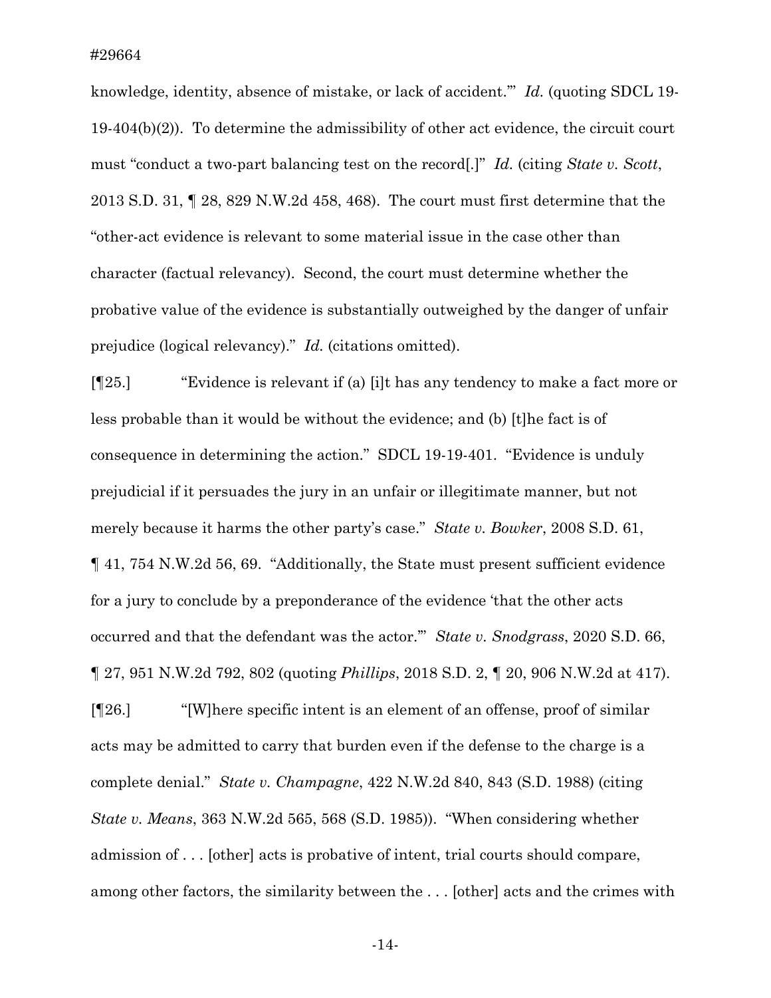knowledge, identity, absence of mistake, or lack of accident.'" *Id.* (quoting SDCL 19- 19-404(b)(2)). To determine the admissibility of other act evidence, the circuit court must "conduct a two-part balancing test on the record[.]" *Id.* (citing *State v. Scott*, 2013 S.D. 31, ¶ 28, 829 N.W.2d 458, 468). The court must first determine that the "other-act evidence is relevant to some material issue in the case other than character (factual relevancy). Second, the court must determine whether the probative value of the evidence is substantially outweighed by the danger of unfair prejudice (logical relevancy)." *Id.* (citations omitted).

[¶25.] "Evidence is relevant if (a) [i]t has any tendency to make a fact more or less probable than it would be without the evidence; and (b) [t]he fact is of consequence in determining the action." SDCL 19-19-401. "Evidence is unduly prejudicial if it persuades the jury in an unfair or illegitimate manner, but not merely because it harms the other party's case." *State v. Bowker*, 2008 S.D. 61, ¶ 41, 754 N.W.2d 56, 69. "Additionally, the State must present sufficient evidence for a jury to conclude by a preponderance of the evidence 'that the other acts occurred and that the defendant was the actor.'" *State v. Snodgrass*, 2020 S.D. 66, ¶ 27, 951 N.W.2d 792, 802 (quoting *Phillips*, 2018 S.D. 2, ¶ 20, 906 N.W.2d at 417).

[¶26.] "[W]here specific intent is an element of an offense, proof of similar acts may be admitted to carry that burden even if the defense to the charge is a complete denial." *State v. Champagne*, 422 N.W.2d 840, 843 (S.D. 1988) (citing *State v. Means*, 363 N.W.2d 565, 568 (S.D. 1985)). "When considering whether admission of . . . [other] acts is probative of intent, trial courts should compare, among other factors, the similarity between the . . . [other] acts and the crimes with

-14-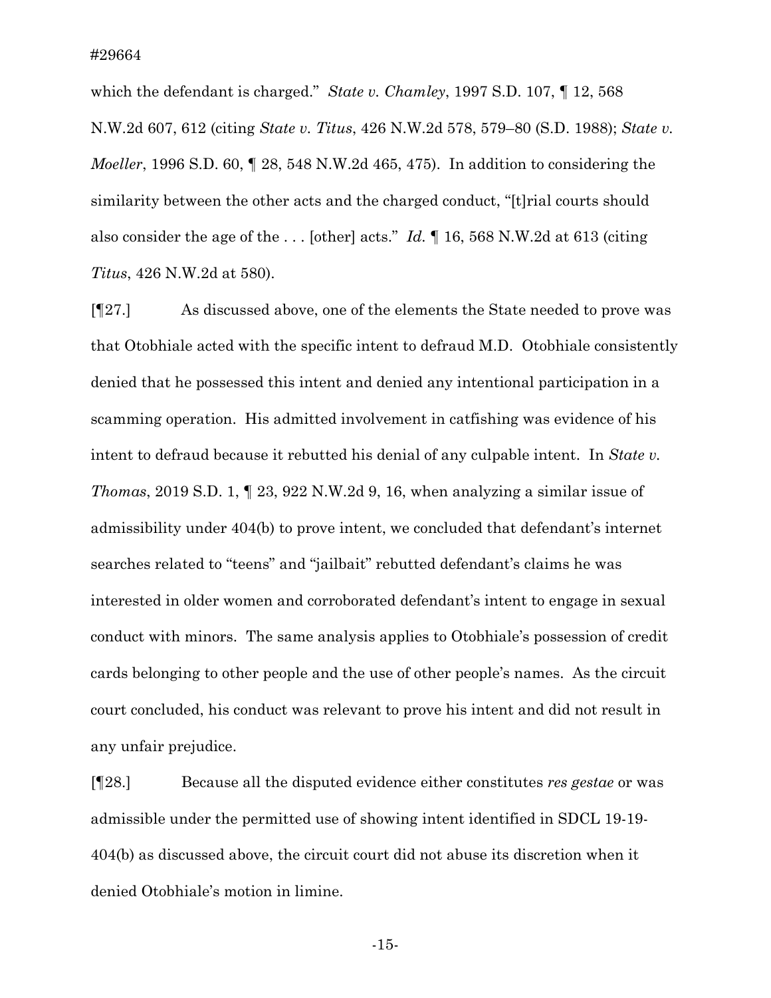which the defendant is charged." *State v. Chamley*, 1997 S.D. 107, ¶ 12, 568 N.W.2d 607, 612 (citing *State v. Titus*, 426 N.W.2d 578, 579–80 (S.D. 1988); *State v. Moeller*, 1996 S.D. 60, ¶ 28, 548 N.W.2d 465, 475). In addition to considering the similarity between the other acts and the charged conduct, "[t]rial courts should also consider the age of the . . . [other] acts." *Id.* ¶ 16, 568 N.W.2d at 613 (citing *Titus*, 426 N.W.2d at 580).

[¶27.] As discussed above, one of the elements the State needed to prove was that Otobhiale acted with the specific intent to defraud M.D. Otobhiale consistently denied that he possessed this intent and denied any intentional participation in a scamming operation. His admitted involvement in catfishing was evidence of his intent to defraud because it rebutted his denial of any culpable intent. In *State v. Thomas*, 2019 S.D. 1, ¶ 23, 922 N.W.2d 9, 16, when analyzing a similar issue of admissibility under 404(b) to prove intent, we concluded that defendant's internet searches related to "teens" and "jailbait" rebutted defendant's claims he was interested in older women and corroborated defendant's intent to engage in sexual conduct with minors. The same analysis applies to Otobhiale's possession of credit cards belonging to other people and the use of other people's names. As the circuit court concluded, his conduct was relevant to prove his intent and did not result in any unfair prejudice.

[¶28.] Because all the disputed evidence either constitutes *res gestae* or was admissible under the permitted use of showing intent identified in SDCL 19-19- 404(b) as discussed above, the circuit court did not abuse its discretion when it denied Otobhiale's motion in limine.

-15-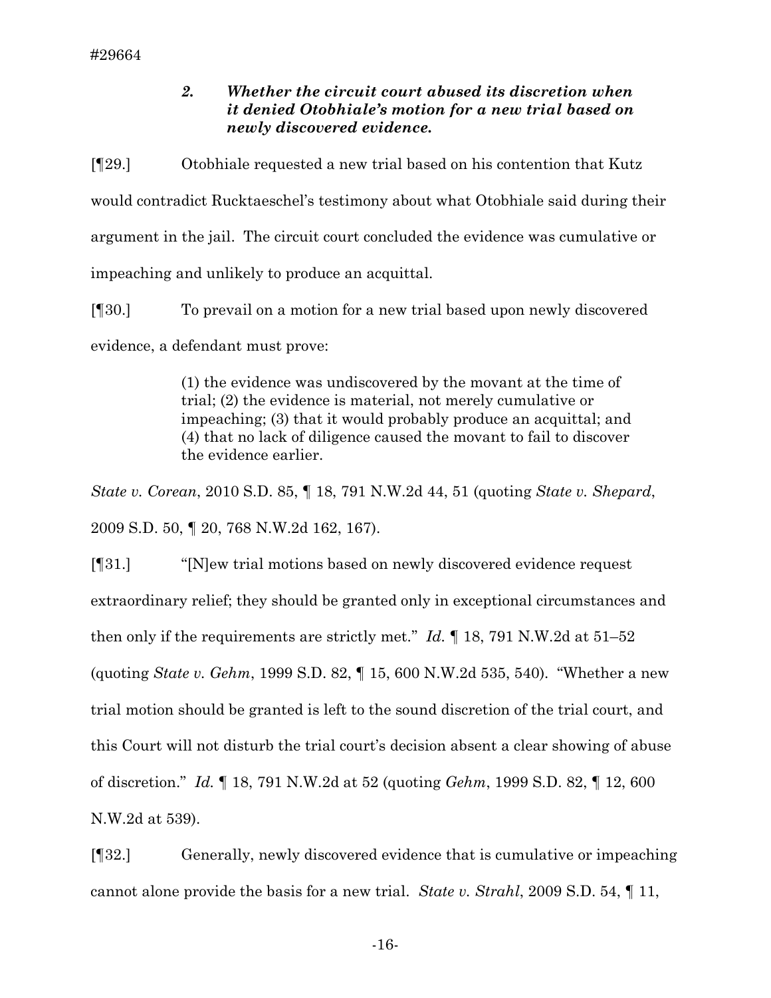# *2. Whether the circuit court abused its discretion when it denied Otobhiale's motion for a new trial based on newly discovered evidence.*

[¶29.] Otobhiale requested a new trial based on his contention that Kutz would contradict Rucktaeschel's testimony about what Otobhiale said during their argument in the jail. The circuit court concluded the evidence was cumulative or impeaching and unlikely to produce an acquittal.

[¶30.] To prevail on a motion for a new trial based upon newly discovered evidence, a defendant must prove:

> (1) the evidence was undiscovered by the movant at the time of trial; (2) the evidence is material, not merely cumulative or impeaching; (3) that it would probably produce an acquittal; and (4) that no lack of diligence caused the movant to fail to discover the evidence earlier.

*State v. Corean*, 2010 S.D. 85, ¶ 18, 791 N.W.2d 44, 51 (quoting *State v. Shepard*, 2009 S.D. 50, ¶ 20, 768 N.W.2d 162, 167).

[¶31.] "[N]ew trial motions based on newly discovered evidence request extraordinary relief; they should be granted only in exceptional circumstances and then only if the requirements are strictly met.'' *Id.* ¶ 18, 791 N.W.2d at 51–52 (quoting *State v. Gehm*, 1999 S.D. 82, ¶ 15, 600 N.W.2d 535, 540). "Whether a new trial motion should be granted is left to the sound discretion of the trial court, and this Court will not disturb the trial court's decision absent a clear showing of abuse of discretion." *Id.* ¶ 18, 791 N.W.2d at 52 (quoting *Gehm*, 1999 S.D. 82, ¶ 12, 600 N.W.2d at 539).

[¶32.] Generally, newly discovered evidence that is cumulative or impeaching cannot alone provide the basis for a new trial. *State v. Strahl*, 2009 S.D. 54, ¶ 11,

-16-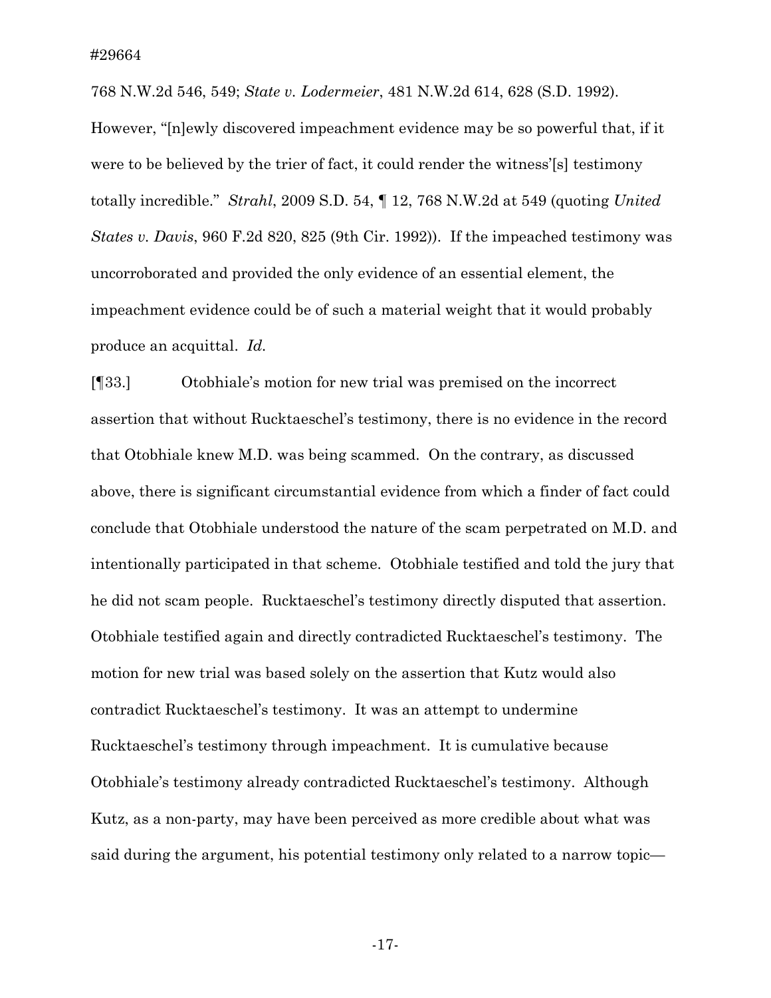768 N.W.2d 546, 549; *State v. Lodermeier*, 481 N.W.2d 614, 628 (S.D. 1992).

However, "[n]ewly discovered impeachment evidence may be so powerful that, if it were to be believed by the trier of fact, it could render the witness'[s] testimony totally incredible." *Strahl*, 2009 S.D. 54, ¶ 12, 768 N.W.2d at 549 (quoting *United States v. Davis*, 960 F.2d 820, 825 (9th Cir. 1992)). If the impeached testimony was uncorroborated and provided the only evidence of an essential element, the impeachment evidence could be of such a material weight that it would probably produce an acquittal. *Id.*

[¶33.] Otobhiale's motion for new trial was premised on the incorrect assertion that without Rucktaeschel's testimony, there is no evidence in the record that Otobhiale knew M.D. was being scammed. On the contrary, as discussed above, there is significant circumstantial evidence from which a finder of fact could conclude that Otobhiale understood the nature of the scam perpetrated on M.D. and intentionally participated in that scheme. Otobhiale testified and told the jury that he did not scam people. Rucktaeschel's testimony directly disputed that assertion. Otobhiale testified again and directly contradicted Rucktaeschel's testimony. The motion for new trial was based solely on the assertion that Kutz would also contradict Rucktaeschel's testimony. It was an attempt to undermine Rucktaeschel's testimony through impeachment. It is cumulative because Otobhiale's testimony already contradicted Rucktaeschel's testimony. Although Kutz, as a non-party, may have been perceived as more credible about what was said during the argument, his potential testimony only related to a narrow topic—

-17-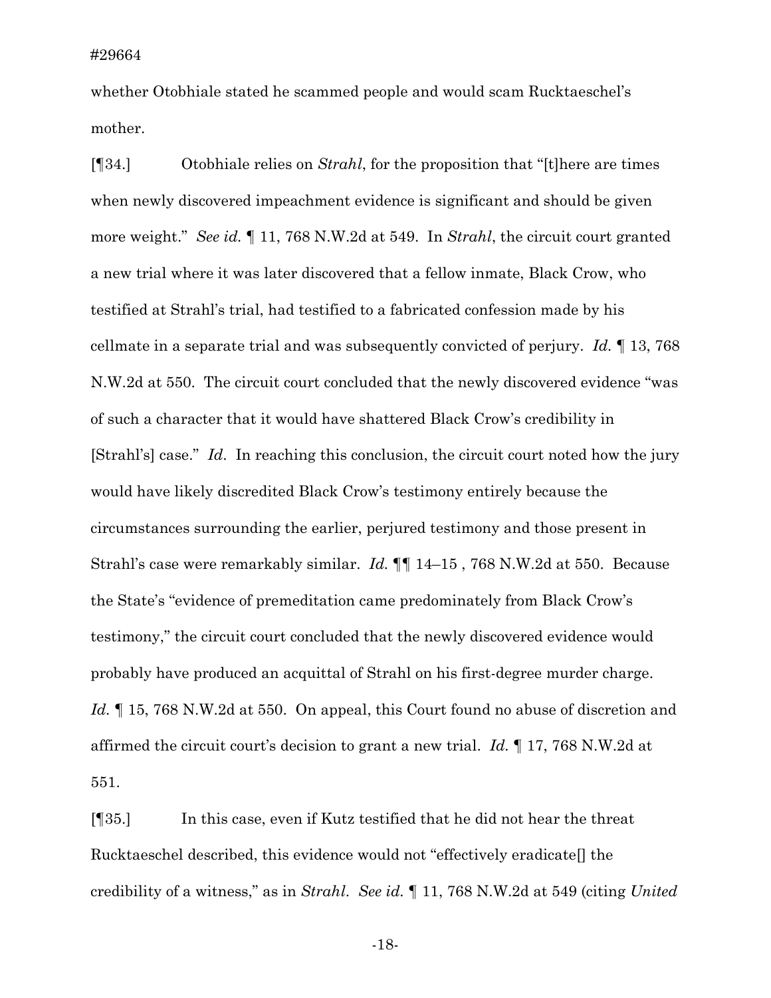whether Otobhiale stated he scammed people and would scam Rucktaeschel's mother.

[¶34.] Otobhiale relies on *Strahl*, for the proposition that "[t]here are times when newly discovered impeachment evidence is significant and should be given more weight." *See id.* ¶ 11, 768 N.W.2d at 549. In *Strahl*, the circuit court granted a new trial where it was later discovered that a fellow inmate, Black Crow, who testified at Strahl's trial, had testified to a fabricated confession made by his cellmate in a separate trial and was subsequently convicted of perjury. *Id.* ¶ 13, 768 N.W.2d at 550. The circuit court concluded that the newly discovered evidence "was of such a character that it would have shattered Black Crow's credibility in [Strahl's] case." *Id*. In reaching this conclusion, the circuit court noted how the jury would have likely discredited Black Crow's testimony entirely because the circumstances surrounding the earlier, perjured testimony and those present in Strahl's case were remarkably similar. *Id.* ¶¶ 14–15 , 768 N.W.2d at 550. Because the State's "evidence of premeditation came predominately from Black Crow's testimony," the circuit court concluded that the newly discovered evidence would probably have produced an acquittal of Strahl on his first-degree murder charge. *Id.* ¶ 15, 768 N.W.2d at 550.On appeal, this Court found no abuse of discretion and affirmed the circuit court's decision to grant a new trial. *Id.* ¶ 17, 768 N.W.2d at 551.

[¶35.] In this case, even if Kutz testified that he did not hear the threat Rucktaeschel described, this evidence would not "effectively eradicate[] the credibility of a witness," as in *Strahl*. *See id.* ¶ 11, 768 N.W.2d at 549 (citing *United* 

-18-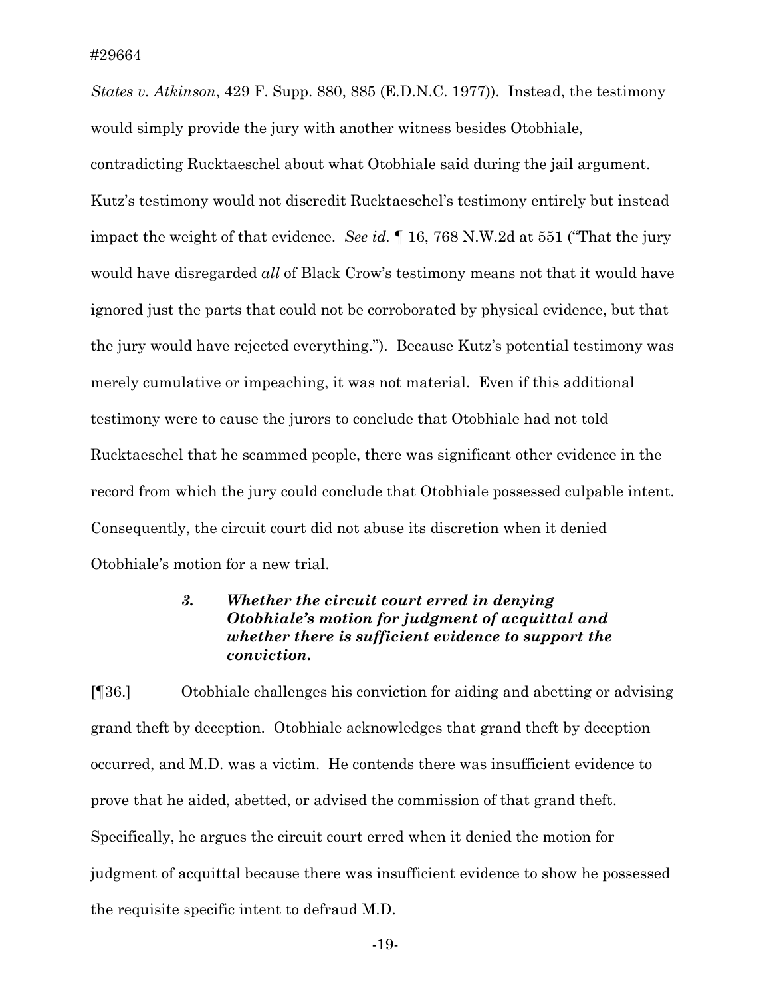*States v. Atkinson*, 429 F. Supp. 880, 885 (E.D.N.C. 1977)). Instead, the testimony would simply provide the jury with another witness besides Otobhiale, contradicting Rucktaeschel about what Otobhiale said during the jail argument. Kutz's testimony would not discredit Rucktaeschel's testimony entirely but instead impact the weight of that evidence. *See id.* ¶ 16, 768 N.W.2d at 551 ("That the jury would have disregarded *all* of Black Crow's testimony means not that it would have ignored just the parts that could not be corroborated by physical evidence, but that the jury would have rejected everything."). Because Kutz's potential testimony was merely cumulative or impeaching, it was not material. Even if this additional testimony were to cause the jurors to conclude that Otobhiale had not told Rucktaeschel that he scammed people, there was significant other evidence in the record from which the jury could conclude that Otobhiale possessed culpable intent. Consequently, the circuit court did not abuse its discretion when it denied Otobhiale's motion for a new trial.

## *3. Whether the circuit court erred in denying Otobhiale's motion for judgment of acquittal and whether there is sufficient evidence to support the conviction.*

[¶36.] Otobhiale challenges his conviction for aiding and abetting or advising grand theft by deception. Otobhiale acknowledges that grand theft by deception occurred, and M.D. was a victim. He contends there was insufficient evidence to prove that he aided, abetted, or advised the commission of that grand theft. Specifically, he argues the circuit court erred when it denied the motion for judgment of acquittal because there was insufficient evidence to show he possessed the requisite specific intent to defraud M.D.

-19-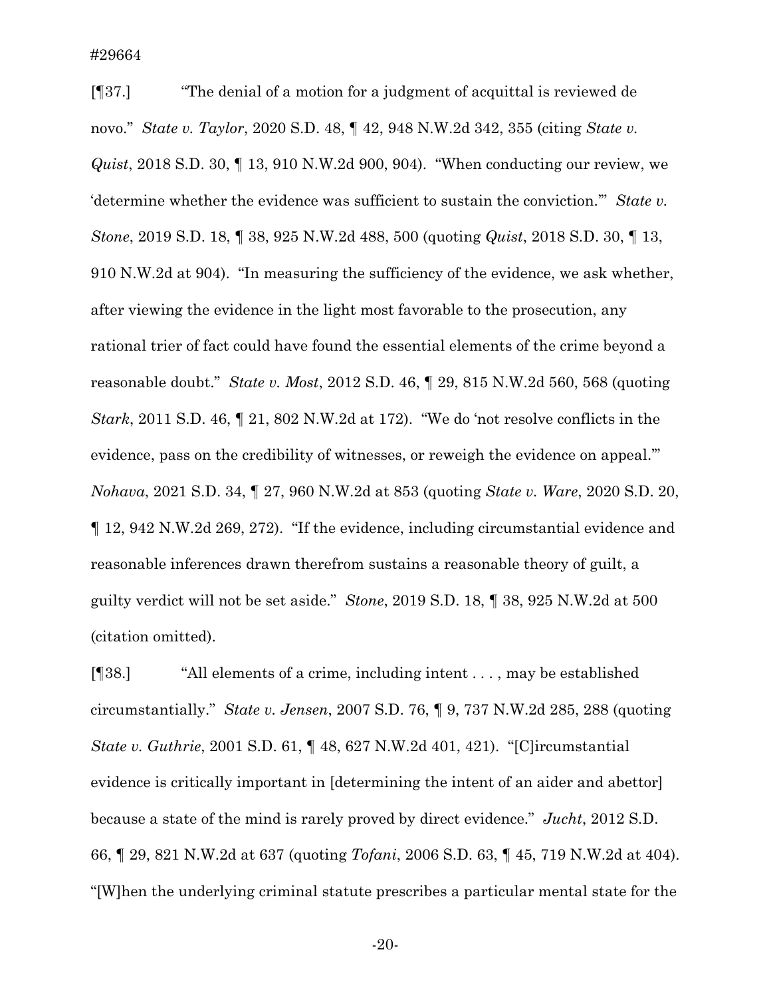[¶37.] "The denial of a motion for a judgment of acquittal is reviewed de novo." *State v. Taylor*, 2020 S.D. 48, ¶ 42, 948 N.W.2d 342, 355 (citing *State v. Quist*, 2018 S.D. 30, ¶ 13, 910 N.W.2d 900, 904). "When conducting our review, we 'determine whether the evidence was sufficient to sustain the conviction.'" *State v. Stone*, 2019 S.D. 18, ¶ 38, 925 N.W.2d 488, 500 (quoting *Quist*, 2018 S.D. 30, ¶ 13, 910 N.W.2d at 904). "In measuring the sufficiency of the evidence, we ask whether, after viewing the evidence in the light most favorable to the prosecution, any rational trier of fact could have found the essential elements of the crime beyond a reasonable doubt." *State v. Most*, 2012 S.D. 46, ¶ 29, 815 N.W.2d 560, 568 (quoting *Stark*, 2011 S.D. 46, ¶ 21, 802 N.W.2d at 172). "We do 'not resolve conflicts in the evidence, pass on the credibility of witnesses, or reweigh the evidence on appeal.'" *Nohava*, 2021 S.D. 34, ¶ 27, 960 N.W.2d at 853 (quoting *State v. Ware*, 2020 S.D. 20, ¶ 12, 942 N.W.2d 269, 272). "If the evidence, including circumstantial evidence and reasonable inferences drawn therefrom sustains a reasonable theory of guilt, a guilty verdict will not be set aside." *Stone*, 2019 S.D. 18, ¶ 38, 925 N.W.2d at 500 (citation omitted).

[¶38.] "All elements of a crime, including intent . . . , may be established circumstantially." *State v. Jensen*, 2007 S.D. 76, ¶ 9, 737 N.W.2d 285, 288 (quoting *State v. Guthrie*, 2001 S.D. 61, ¶ 48, 627 N.W.2d 401, 421). "[C]ircumstantial evidence is critically important in [determining the intent of an aider and abettor] because a state of the mind is rarely proved by direct evidence." *Jucht*, 2012 S.D. 66, ¶ 29, 821 N.W.2d at 637 (quoting *Tofani*, 2006 S.D. 63, ¶ 45, 719 N.W.2d at 404). "[W]hen the underlying criminal statute prescribes a particular mental state for the

-20-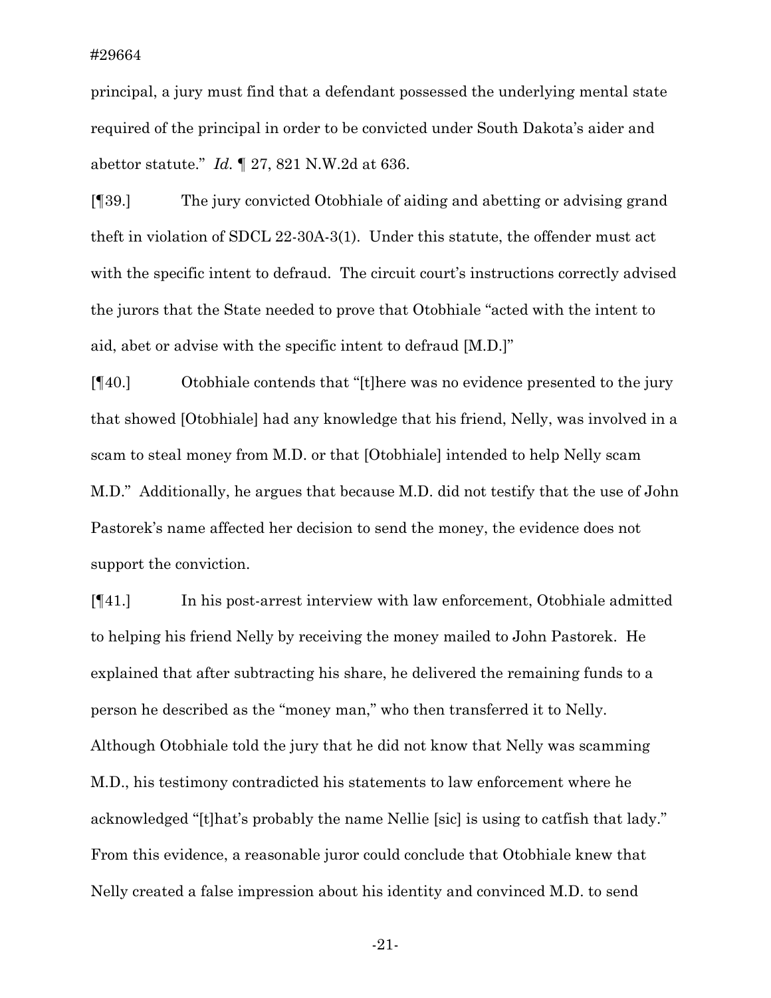principal, a jury must find that a defendant possessed the underlying mental state required of the principal in order to be convicted under South Dakota's aider and abettor statute." *Id.* ¶ 27, 821 N.W.2d at 636.

[¶39.] The jury convicted Otobhiale of aiding and abetting or advising grand theft in violation of SDCL 22-30A-3(1). Under this statute, the offender must act with the specific intent to defraud. The circuit court's instructions correctly advised the jurors that the State needed to prove that Otobhiale "acted with the intent to aid, abet or advise with the specific intent to defraud [M.D.]"

[¶40.] Otobhiale contends that "[t]here was no evidence presented to the jury that showed [Otobhiale] had any knowledge that his friend, Nelly, was involved in a scam to steal money from M.D. or that [Otobhiale] intended to help Nelly scam M.D." Additionally, he argues that because M.D. did not testify that the use of John Pastorek's name affected her decision to send the money, the evidence does not support the conviction.

[¶41.] In his post-arrest interview with law enforcement, Otobhiale admitted to helping his friend Nelly by receiving the money mailed to John Pastorek. He explained that after subtracting his share, he delivered the remaining funds to a person he described as the "money man," who then transferred it to Nelly. Although Otobhiale told the jury that he did not know that Nelly was scamming M.D., his testimony contradicted his statements to law enforcement where he acknowledged "[t]hat's probably the name Nellie [sic] is using to catfish that lady." From this evidence, a reasonable juror could conclude that Otobhiale knew that Nelly created a false impression about his identity and convinced M.D. to send

-21-